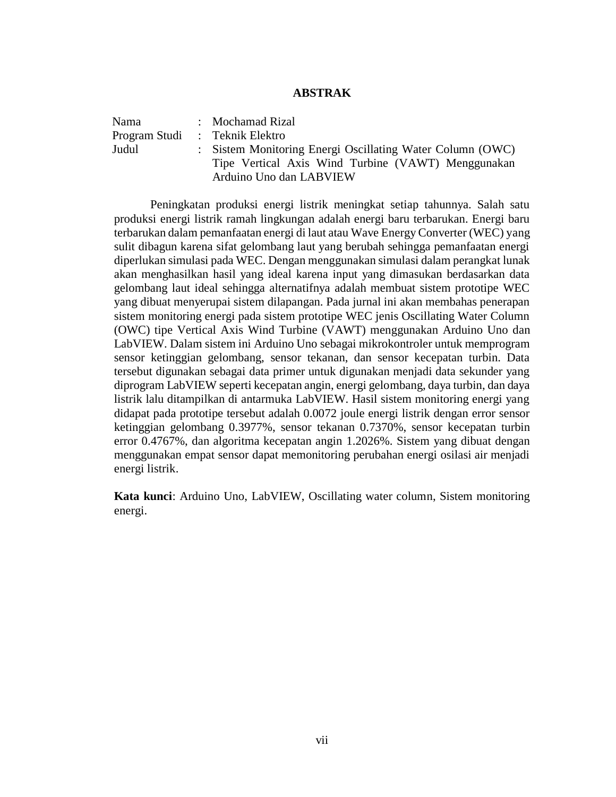## **ABSTRAK**

| Nama  | : Mochamad Rizal                                          |
|-------|-----------------------------------------------------------|
|       | Program Studi : Teknik Elektro                            |
| Judul | : Sistem Monitoring Energi Oscillating Water Column (OWC) |
|       | Tipe Vertical Axis Wind Turbine (VAWT) Menggunakan        |
|       | Arduino Uno dan LABVIEW                                   |

Peningkatan produksi energi listrik meningkat setiap tahunnya. Salah satu produksi energi listrik ramah lingkungan adalah energi baru terbarukan. Energi baru terbarukan dalam pemanfaatan energi di laut atau Wave Energy Converter (WEC) yang sulit dibagun karena sifat gelombang laut yang berubah sehingga pemanfaatan energi diperlukan simulasi pada WEC. Dengan menggunakan simulasi dalam perangkat lunak akan menghasilkan hasil yang ideal karena input yang dimasukan berdasarkan data gelombang laut ideal sehingga alternatifnya adalah membuat sistem prototipe WEC yang dibuat menyerupai sistem dilapangan. Pada jurnal ini akan membahas penerapan sistem monitoring energi pada sistem prototipe WEC jenis Oscillating Water Column (OWC) tipe Vertical Axis Wind Turbine (VAWT) menggunakan Arduino Uno dan LabVIEW. Dalam sistem ini Arduino Uno sebagai mikrokontroler untuk memprogram sensor ketinggian gelombang, sensor tekanan, dan sensor kecepatan turbin. Data tersebut digunakan sebagai data primer untuk digunakan menjadi data sekunder yang diprogram LabVIEW seperti kecepatan angin, energi gelombang, daya turbin, dan daya listrik lalu ditampilkan di antarmuka LabVIEW. Hasil sistem monitoring energi yang didapat pada prototipe tersebut adalah 0.0072 joule energi listrik dengan error sensor ketinggian gelombang 0.3977%, sensor tekanan 0.7370%, sensor kecepatan turbin error 0.4767%, dan algoritma kecepatan angin 1.2026%. Sistem yang dibuat dengan menggunakan empat sensor dapat memonitoring perubahan energi osilasi air menjadi energi listrik.

**Kata kunci**: Arduino Uno, LabVIEW, Oscillating water column, Sistem monitoring energi.